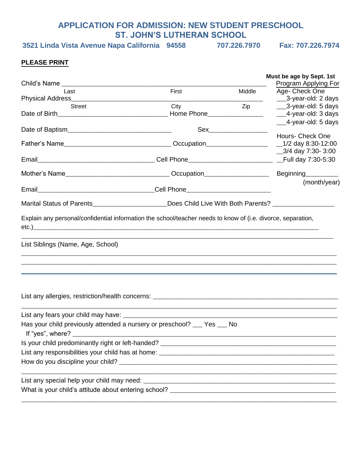#### **APPLICATION FOR ADMISSION: NEW STUDENT PRESCHOOL ST. JOHN'S LUTHERAN SCHOOL**

**3521 Linda Vista Avenue Napa California 94558 707.226.7970 Fax: 707.226.7974**

### **PLEASE PRINT**

|                                                                                                      |       |              | Must be age by Sept. 1st<br>Program Applying For |
|------------------------------------------------------------------------------------------------------|-------|--------------|--------------------------------------------------|
| Last                                                                                                 | First | Middle       | Age- Check One                                   |
|                                                                                                      |       |              | ___3-year-old: 2 days                            |
| Street                                                                                               | City  | Ziperrore    | ___3-year-old: 5 days                            |
|                                                                                                      |       |              | __4-year-old: 3 days                             |
|                                                                                                      |       |              | __4-year-old: 5 days                             |
|                                                                                                      |       |              | Hours- Check One                                 |
|                                                                                                      |       |              | $\_3/4$ day 7:30- 3:00                           |
|                                                                                                      |       |              |                                                  |
|                                                                                                      |       |              |                                                  |
|                                                                                                      |       |              | Beginning <sub>_____</sub> ______                |
|                                                                                                      |       | (month/year) |                                                  |
| Marital Status of Parents________________________Does Child Live With Both Parents? ________________ |       |              |                                                  |
| List Siblings (Name, Age, School)                                                                    |       |              |                                                  |
|                                                                                                      |       |              |                                                  |
|                                                                                                      |       |              |                                                  |
| Has your child previously attended a nursery or preschool? __ Yes __ No                              |       |              |                                                  |
|                                                                                                      |       |              |                                                  |
|                                                                                                      |       |              |                                                  |
|                                                                                                      |       |              |                                                  |
|                                                                                                      |       |              |                                                  |
|                                                                                                      |       |              |                                                  |
|                                                                                                      |       |              |                                                  |
|                                                                                                      |       |              |                                                  |